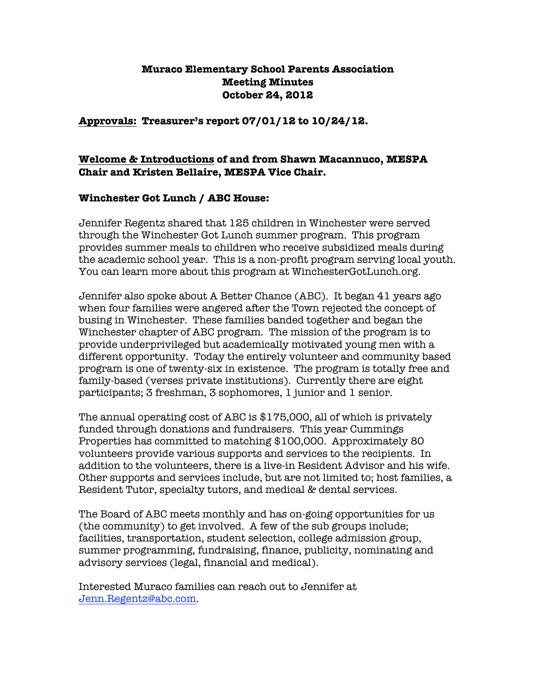## **Muraco Elementary School Parents Association Meeting Minutes October 24, 2012**

**Approvals: Treasurer's report 07/01/12 to 10/24/12.**

## **Welcome & Introductions of and from Shawn Macannuco, MESPA Chair and Kristen Bellaire, MESPA Vice Chair.**

### **Winchester Got Lunch / ABC House:**

Jennifer Regentz shared that 125 children in Winchester were served through the Winchester Got Lunch summer program. This program provides summer meals to children who receive subsidized meals during the academic school year. This is a non-profit program serving local youth. You can learn more about this program at WinchesterGotLunch.org.

Jennifer also spoke about A Better Chance (ABC). It began 41 years ago when four families were angered after the Town rejected the concept of busing in Winchester. These families banded together and began the Winchester chapter of ABC program. The mission of the program is to provide underprivileged but academically motivated young men with a different opportunity. Today the entirely volunteer and community based program is one of twenty-six in existence. The program is totally free and family-based (verses private institutions). Currently there are eight participants; 3 freshman, 3 sophomores, 1 junior and 1 senior.

The annual operating cost of ABC is \$175,000, all of which is privately funded through donations and fundraisers. This year Cummings Properties has committed to matching \$100,000. Approximately 80 volunteers provide various supports and services to the recipients. In addition to the volunteers, there is a live-in Resident Advisor and his wife. Other supports and services include, but are not limited to; host families, a Resident Tutor, specialty tutors, and medical & dental services.

The Board of ABC meets monthly and has on-going opportunities for us (the community) to get involved. A few of the sub groups include; facilities, transportation, student selection, college admission group, summer programming, fundraising, finance, publicity, nominating and advisory services (legal, financial and medical).

Interested Muraco families can reach out to Jennifer at Jenn.Regentz@abc.com.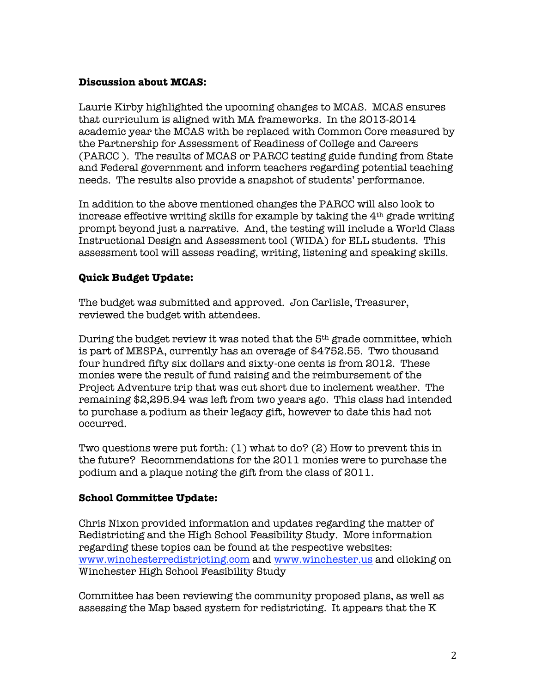## **Discussion about MCAS:**

Laurie Kirby highlighted the upcoming changes to MCAS. MCAS ensures that curriculum is aligned with MA frameworks. In the 2013-2014 academic year the MCAS with be replaced with Common Core measured by the Partnership for Assessment of Readiness of College and Careers (PARCC ). The results of MCAS or PARCC testing guide funding from State and Federal government and inform teachers regarding potential teaching needs. The results also provide a snapshot of students' performance.

In addition to the above mentioned changes the PARCC will also look to increase effective writing skills for example by taking the  $4<sup>th</sup>$  grade writing prompt beyond just a narrative. And, the testing will include a World Class Instructional Design and Assessment tool (WIDA) for ELL students. This assessment tool will assess reading, writing, listening and speaking skills.

# **Quick Budget Update:**

The budget was submitted and approved. Jon Carlisle, Treasurer, reviewed the budget with attendees.

During the budget review it was noted that the 5th grade committee, which is part of MESPA, currently has an overage of \$4752.55. Two thousand four hundred fifty six dollars and sixty-one cents is from 2012. These monies were the result of fund raising and the reimbursement of the Project Adventure trip that was cut short due to inclement weather. The remaining \$2,295.94 was left from two years ago. This class had intended to purchase a podium as their legacy gift, however to date this had not occurred.

Two questions were put forth: (1) what to do? (2) How to prevent this in the future? Recommendations for the 2011 monies were to purchase the podium and a plaque noting the gift from the class of 2011.

# **School Committee Update:**

Chris Nixon provided information and updates regarding the matter of Redistricting and the High School Feasibility Study. More information regarding these topics can be found at the respective websites: www.winchesterredistricting.com and www.winchester.us and clicking on Winchester High School Feasibility Study

Committee has been reviewing the community proposed plans, as well as assessing the Map based system for redistricting. It appears that the K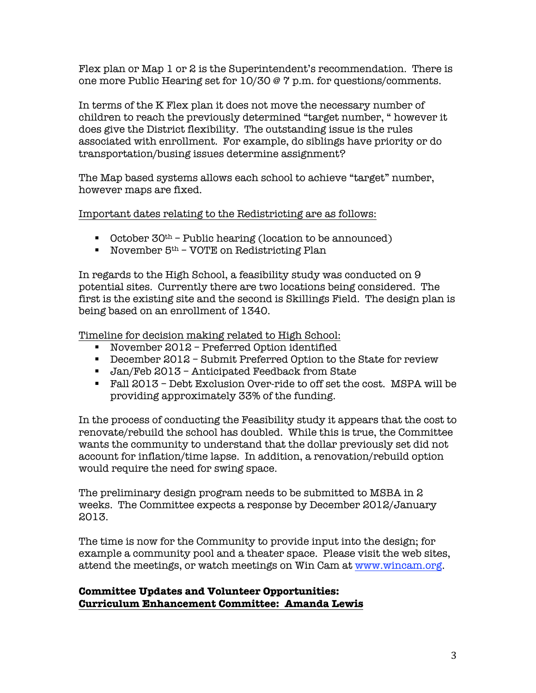Flex plan or Map 1 or 2 is the Superintendent's recommendation. There is one more Public Hearing set for 10/30 @ 7 p.m. for questions/comments.

In terms of the K Flex plan it does not move the necessary number of children to reach the previously determined "target number, " however it does give the District flexibility. The outstanding issue is the rules associated with enrollment. For example, do siblings have priority or do transportation/busing issues determine assignment?

The Map based systems allows each school to achieve "target" number, however maps are fixed.

Important dates relating to the Redistricting are as follows:

- $\blacksquare$  October 30<sup>th</sup> Public hearing (location to be announced)
- November  $5<sup>th</sup>$  VOTE on Redistricting Plan

In regards to the High School, a feasibility study was conducted on 9 potential sites. Currently there are two locations being considered. The first is the existing site and the second is Skillings Field. The design plan is being based on an enrollment of 1340.

Timeline for decision making related to High School:

- November 2012 Preferred Option identified
- December 2012 Submit Preferred Option to the State for review
- Jan/Feb 2013 Anticipated Feedback from State
- Fall 2013 Debt Exclusion Over-ride to off set the cost. MSPA will be providing approximately 33% of the funding.

In the process of conducting the Feasibility study it appears that the cost to renovate/rebuild the school has doubled. While this is true, the Committee wants the community to understand that the dollar previously set did not account for inflation/time lapse. In addition, a renovation/rebuild option would require the need for swing space.

The preliminary design program needs to be submitted to MSBA in 2 weeks. The Committee expects a response by December 2012/January 2013.

The time is now for the Community to provide input into the design; for example a community pool and a theater space. Please visit the web sites, attend the meetings, or watch meetings on Win Cam at www.wincam.org.

# **Committee Updates and Volunteer Opportunities: Curriculum Enhancement Committee: Amanda Lewis**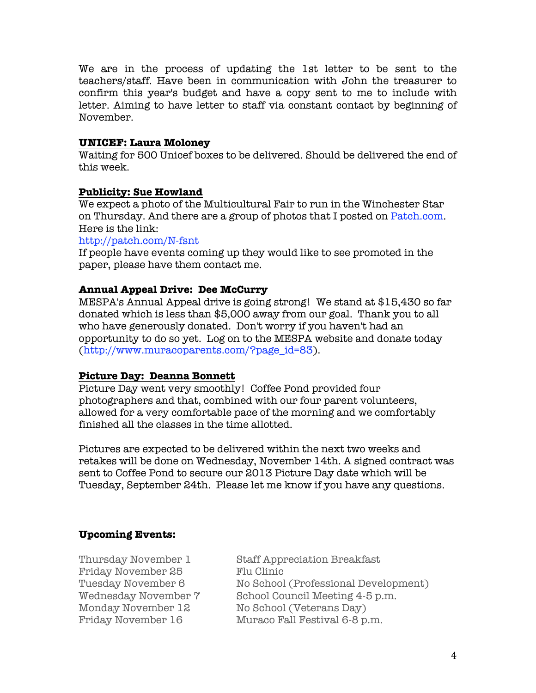We are in the process of updating the 1st letter to be sent to the teachers/staff. Have been in communication with John the treasurer to confirm this year's budget and have a copy sent to me to include with letter. Aiming to have letter to staff via constant contact by beginning of November.

### **UNICEF: Laura Moloney**

Waiting for 500 Unicef boxes to be delivered. Should be delivered the end of this week.

### **Publicity: Sue Howland**

We expect a photo of the Multicultural Fair to run in the Winchester Star on Thursday. And there are a group of photos that I posted on Patch.com. Here is the link:

### http://patch.com/N-fsnt

If people have events coming up they would like to see promoted in the paper, please have them contact me.

### **Annual Appeal Drive: Dee McCurry**

MESPA's Annual Appeal drive is going strong! We stand at \$15,430 so far donated which is less than \$5,000 away from our goal. Thank you to all who have generously donated. Don't worry if you haven't had an opportunity to do so yet. Log on to the MESPA website and donate today (http://www.muracoparents.com/?page\_id=83).

### **Picture Day: Deanna Bonnett**

Picture Day went very smoothly! Coffee Pond provided four photographers and that, combined with our four parent volunteers, allowed for a very comfortable pace of the morning and we comfortably finished all the classes in the time allotted.

Pictures are expected to be delivered within the next two weeks and retakes will be done on Wednesday, November 14th. A signed contract was sent to Coffee Pond to secure our 2013 Picture Day date which will be Tuesday, September 24th. Please let me know if you have any questions.

# **Upcoming Events:**

Friday November 25 Flu Clinic

Thursday November 1 Staff Appreciation Breakfast Tuesday November 6 No School (Professional Development) Wednesday November 7 School Council Meeting 4-5 p.m. Monday November 12 No School (Veterans Day) Friday November 16 Muraco Fall Festival 6-8 p.m.